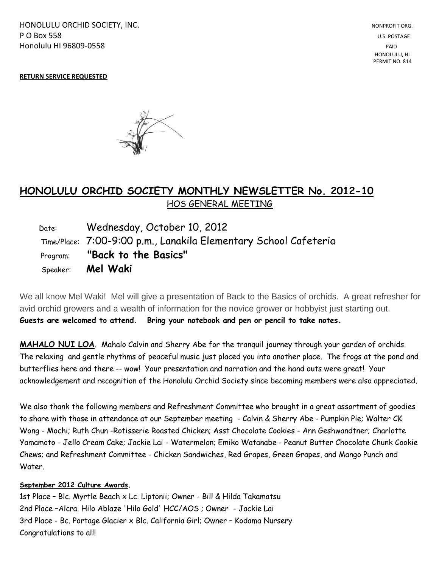HONOLULU ORCHID SOCIETY, INC. NONPROFIT ORG. NONPROFIT ORG. **P O Box 558** U.S. POSTAGE Honolulu HI 96809-0558 PAID

## **RETURN SERVICE REQUESTED**



## **HONOLULU ORCHID SOCIETY MONTHLY NEWSLETTER No. 2012-10**  HOS GENERAL MEETING

 Date: Wednesday, October 10, 2012 Time/Place: 7:00-9:00 p.m., Lanakila Elementary School Cafeteria Program: **"Back to the Basics"** Speaker: **Mel Waki**

We all know Mel Waki! Mel will give a presentation of Back to the Basics of orchids. A great refresher for avid orchid growers and a wealth of information for the novice grower or hobbyist just starting out. **Guests are welcomed to attend. Bring your notebook and pen or pencil to take notes.**

**MAHALO NUI LOA**. Mahalo Calvin and Sherry Abe for the tranquil journey through your garden of orchids. The relaxing and gentle rhythms of peaceful music just placed you into another place. The frogs at the pond and butterflies here and there -- wow! Your presentation and narration and the hand outs were great! Your acknowledgement and recognition of the Honolulu Orchid Society since becoming members were also appreciated.

We also thank the following members and Refreshment Committee who brought in a great assortment of goodies to share with those in attendance at our September meeting - Calvin & Sherry Abe - Pumpkin Pie; Walter CK Wong - Mochi; Ruth Chun -Rotisserie Roasted Chicken; Asst Chocolate Cookies - Ann Geshwandtner; Charlotte Yamamoto - Jello Cream Cake; Jackie Lai - Watermelon; Emiko Watanabe - Peanut Butter Chocolate Chunk Cookie Chews; and Refreshment Committee - Chicken Sandwiches, Red Grapes, Green Grapes, and Mango Punch and Water.

## **September 2012 Culture Awards.**

1st Place – Blc. Myrtle Beach x Lc. Liptonii; Owner - Bill & Hilda Takamatsu 2nd Place –Alcra. Hilo Ablaze 'Hilo Gold' HCC/AOS ; Owner - Jackie Lai 3rd Place - Bc. Portage Glacier x Blc. California Girl; Owner – Kodama Nursery Congratulations to all!